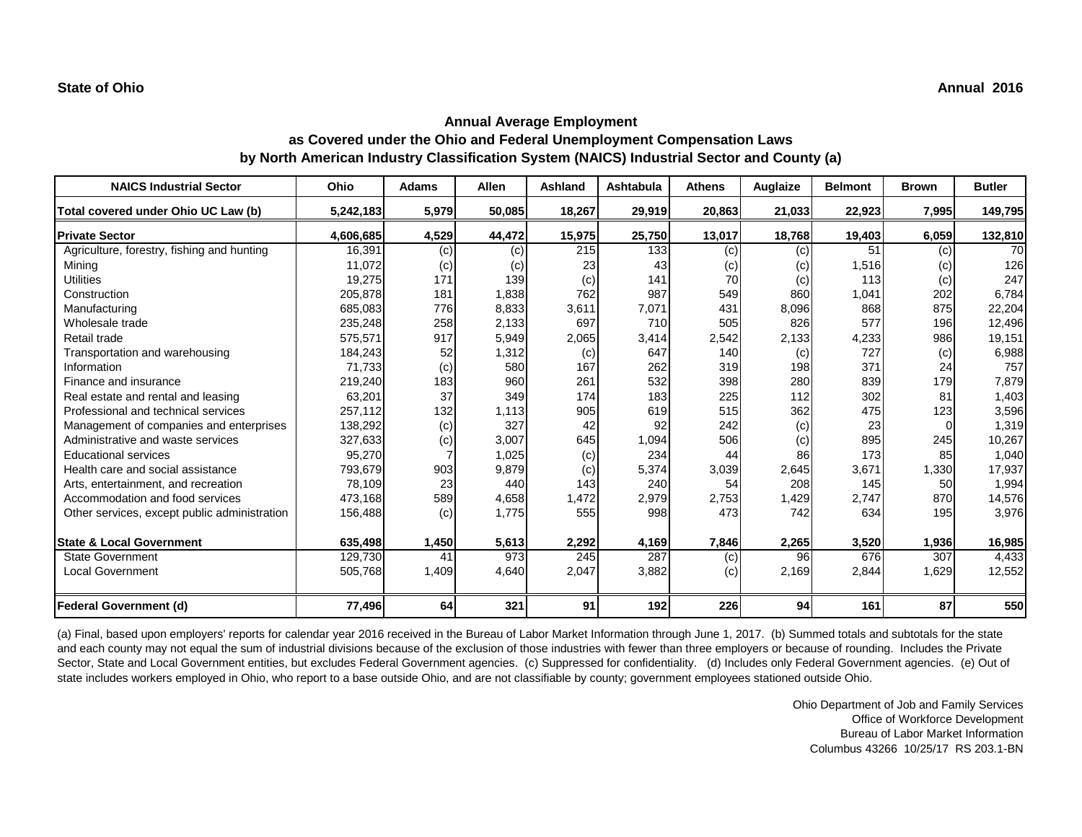| <b>NAICS Industrial Sector</b>               | Ohio      | <b>Adams</b> | <b>Allen</b> | <b>Ashland</b> | <b>Ashtabula</b> | <b>Athens</b> | <b>Auglaize</b> | <b>Belmont</b> | <b>Brown</b> | <b>Butler</b> |
|----------------------------------------------|-----------|--------------|--------------|----------------|------------------|---------------|-----------------|----------------|--------------|---------------|
| Total covered under Ohio UC Law (b)          | 5,242,183 | 5,979        | 50,085       | 18,267         | 29,919           | 20,863        | 21,033          | 22,923         | 7,995        | 149,795       |
| <b>Private Sector</b>                        | 4,606,685 | 4,529        | 44,472       | 15,975         | 25,750           | 13,017        | 18,768          | 19,403         | 6,059        | 132,810       |
| Agriculture, forestry, fishing and hunting   | 16,391    | (c)          | (c)          | 215            | 133              | (c)           | (c)             | 51             | (c)          | 70            |
| Mining                                       | 11,072    | (c)          | (c)          | 23             | 43               | (c)           | (c)             | 1,516          | (c)          | 126           |
| <b>Utilities</b>                             | 19,275    | 171          | 139          | (c)            | 141              | 70            | (c)             | 113            | (c)          | 247           |
| Construction                                 | 205,878   | 181          | 1,838        | 762            | 987              | 549           | 860             | 1,041          | 202          | 6,784         |
| Manufacturing                                | 685,083   | 776          | 8,833        | 3,611          | 7,071            | 431           | 8,096           | 868            | 875          | 22,204        |
| Wholesale trade                              | 235,248   | 258          | 2,133        | 697            | 710              | 505           | 826             | 577            | 196          | 12,496        |
| Retail trade                                 | 575,571   | 917          | 5,949        | 2,065          | 3,414            | 2,542         | 2,133           | 4,233          | 986          | 19,151        |
| Transportation and warehousing               | 184,243   | 52           | 1,312        | (c)            | 647              | 140           | (c)             | 727            | (c)          | 6,988         |
| Information                                  | 71,733    | (c)          | 580          | 167            | 262              | 319           | 198             | 371            | 24           | 757           |
| Finance and insurance                        | 219,240   | 183          | 960          | 261            | 532              | 398           | 280             | 839            | 179          | 7,879         |
| Real estate and rental and leasing           | 63,201    | 37           | 349          | 174            | 183              | 225           | 112             | 302            | 81           | 1,403         |
| Professional and technical services          | 257,112   | 132          | 1,113        | 905            | 619              | 515           | 362             | 475            | 123          | 3,596         |
| Management of companies and enterprises      | 138,292   | (c)          | 327          | 42             | 92               | 242           | (c)             | 23             | $\Omega$     | 1,319         |
| Administrative and waste services            | 327,633   | (c)          | 3,007        | 645            | 1,094            | 506           | (c)             | 895            | 245          | 10,267        |
| <b>Educational services</b>                  | 95,270    |              | 1,025        | (c)            | 234              | 44            | 86              | 173            | 85           | 1,040         |
| Health care and social assistance            | 793,679   | 903          | 9,879        | (c)            | 5,374            | 3,039         | 2,645           | 3,671          | 1,330        | 17,937        |
| Arts, entertainment, and recreation          | 78,109    | 23           | 440          | 143            | 240              | 54            | 208             | 145            | 50           | 1,994         |
| Accommodation and food services              | 473,168   | 589          | 4,658        | 1,472          | 2,979            | 2,753         | 1,429           | 2,747          | 870          | 14,576        |
| Other services, except public administration | 156,488   | (c)          | 1,775        | 555            | 998              | 473           | 742             | 634            | 195          | 3,976         |
| <b>State &amp; Local Government</b>          | 635,498   | 1,450        | 5,613        | 2,292          | 4,169            | 7,846         | 2,265           | 3,520          | 1,936        | 16,985        |
| <b>State Government</b>                      | 129,730   | 41           | 973          | 245            | 287              | (c)           | 96              | 676            | 307          | 4,433         |
| <b>Local Government</b>                      | 505,768   | 1,409        | 4,640        | 2,047          | 3,882            | (c)           | 2,169           | 2,844          | 1,629        | 12,552        |
| Federal Government (d)                       | 77,496    | 64           | 321          | 91             | 192              | 226           | 94              | 161            | 87           | 550           |

(a) Final, based upon employers' reports for calendar year 2016 received in the Bureau of Labor Market Information through June 1, 2017. (b) Summed totals and subtotals for the state and each county may not equal the sum of industrial divisions because of the exclusion of those industries with fewer than three employers or because of rounding. Includes the Private Sector, State and Local Government entities, but excludes Federal Government agencies. (c) Suppressed for confidentiality. (d) Includes only Federal Government agencies. (e) Out of state includes workers employed in Ohio, who report to a base outside Ohio, and are not classifiable by county; government employees stationed outside Ohio.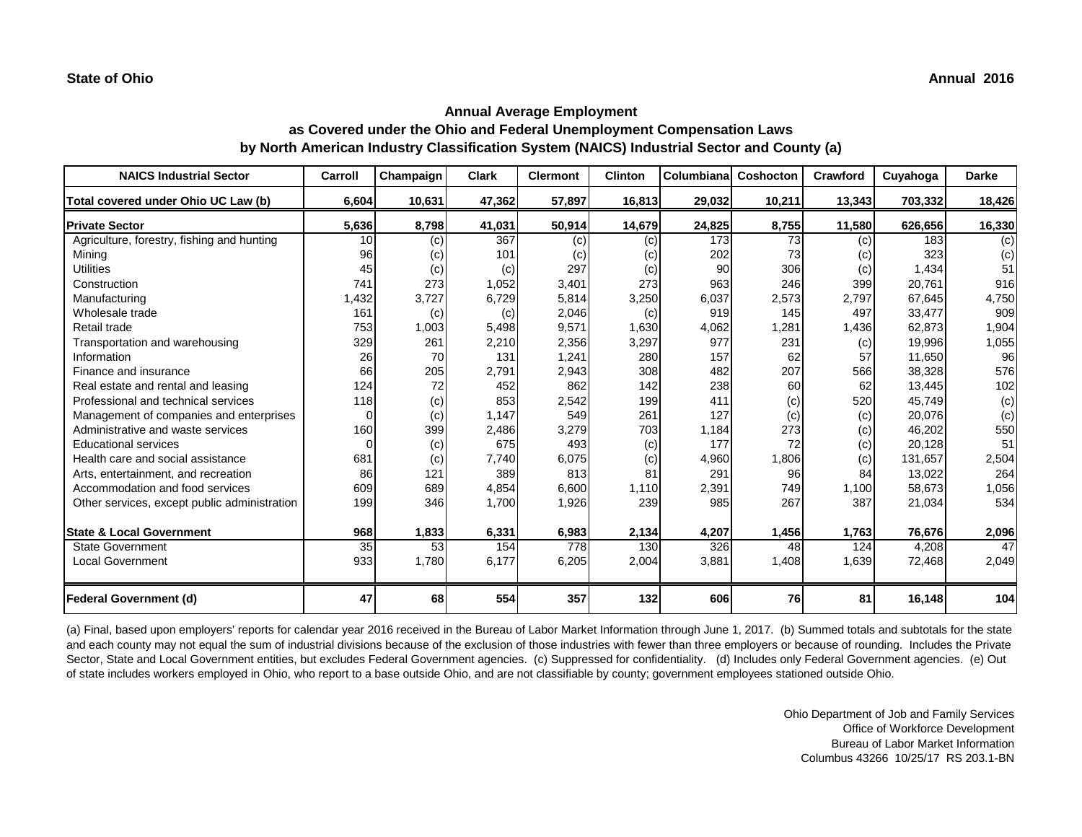| <b>NAICS Industrial Sector</b>               | <b>Carroll</b> | Champaign | <b>Clark</b> | <b>Clermont</b> | <b>Clinton</b> | <b>Columbiana</b> | Coshocton | Crawford | Cuyahoga | <b>Darke</b> |
|----------------------------------------------|----------------|-----------|--------------|-----------------|----------------|-------------------|-----------|----------|----------|--------------|
| Total covered under Ohio UC Law (b)          | 6,604          | 10,631    | 47,362       | 57,897          | 16,813         | 29,032            | 10,211    | 13,343   | 703,332  | 18,426       |
| <b>Private Sector</b>                        | 5,636          | 8,798     | 41,031       | 50,914          | 14,679         | 24,825            | 8,755     | 11,580   | 626,656  | 16,330       |
| Agriculture, forestry, fishing and hunting   | 10             | (c)       | 367          | (c)             | (c)            | 173               | 73        | (c)      | 183      | (c)          |
| Mining                                       | 96             | (c)       | 101          | (c)             | (c)            | 202               | 73        | (c)      | 323      | (c)          |
| <b>Utilities</b>                             | 45             | (c)       | (c)          | 297             | (c)            | 90                | 306       | (c)      | 1,434    | 51           |
| Construction                                 | 741            | 273       | 1,052        | 3,401           | 273            | 963               | 246       | 399      | 20,761   | 916          |
| Manufacturing                                | 1,432          | 3,727     | 6,729        | 5,814           | 3,250          | 6,037             | 2,573     | 2,797    | 67,645   | 4,750        |
| Wholesale trade                              | 161            | (c)       | (c)          | 2,046           | (c)            | 919               | 145       | 497      | 33,477   | 909          |
| Retail trade                                 | 753            | 1,003     | 5,498        | 9,571           | 1,630          | 4,062             | ,281      | 1,436    | 62,873   | 1,904        |
| Transportation and warehousing               | 329            | 261       | 2,210        | 2,356           | 3,297          | 977               | 231       | (c)      | 19,996   | 1,055        |
| Information                                  | 26             | 70        | 131          | 1,241           | 280            | 157               | 62        | 57       | 11,650   | 96           |
| Finance and insurance                        | 66             | 205       | 2,791        | 2,943           | 308            | 482               | 207       | 566      | 38,328   | 576          |
| Real estate and rental and leasing           | 124            | 72        | 452          | 862             | 142            | 238               | 60        | 62       | 13,445   | 102          |
| Professional and technical services          | 118            | (c)       | 853          | 2,542           | 199            | 411               | (c)       | 520      | 45,749   | (c)          |
| Management of companies and enterprises      | $\Omega$       | (c)       | 1,147        | 549             | 261            | 127               | (c)       | (c)      | 20,076   | (c)          |
| Administrative and waste services            | 160            | 399       | 2,486        | 3,279           | 703            | 1,184             | 273       | (c)      | 46,202   | 550          |
| <b>Educational services</b>                  | $\Omega$       | (c)       | 675          | 493             | (c)            | 177               | 72        | (c)      | 20,128   | 51           |
| Health care and social assistance            | 681            | (c)       | 7,740        | 6,075           | (c)            | 4,960             | 1,806     | (c)      | 131,657  | 2,504        |
| Arts, entertainment, and recreation          | 86             | 121       | 389          | 813             | 81             | 291               | 96        | 84       | 13,022   | 264          |
| Accommodation and food services              | 609            | 689       | 4,854        | 6,600           | 1,110          | 2,391             | 749       | 1,100    | 58,673   | 1,056        |
| Other services, except public administration | 199            | 346       | 1,700        | 1,926           | 239            | 985               | 267       | 387      | 21,034   | 534          |
| <b>State &amp; Local Government</b>          | 968            | 1,833     | 6,331        | 6,983           | 2,134          | 4,207             | 1,456     | 1,763    | 76,676   | 2,096        |
| <b>State Government</b>                      | 35             | 53        | 154          | 778             | 130            | 326               | 48        | 124      | 4,208    | 47           |
| <b>Local Government</b>                      | 933            | 1,780     | 6,177        | 6,205           | 2,004          | 3,881             | 1,408     | 1,639    | 72,468   | 2,049        |
| <b>Federal Government (d)</b>                | 47             | 68        | 554          | 357             | 132            | 606               | 76        | 81       | 16,148   | 104          |

(a) Final, based upon employers' reports for calendar year 2016 received in the Bureau of Labor Market Information through June 1, 2017. (b) Summed totals and subtotals for the state and each county may not equal the sum of industrial divisions because of the exclusion of those industries with fewer than three employers or because of rounding. Includes the Private Sector, State and Local Government entities, but excludes Federal Government agencies. (c) Suppressed for confidentiality. (d) Includes only Federal Government agencies. (e) Out of state includes workers employed in Ohio, who report to a base outside Ohio, and are not classifiable by county; government employees stationed outside Ohio.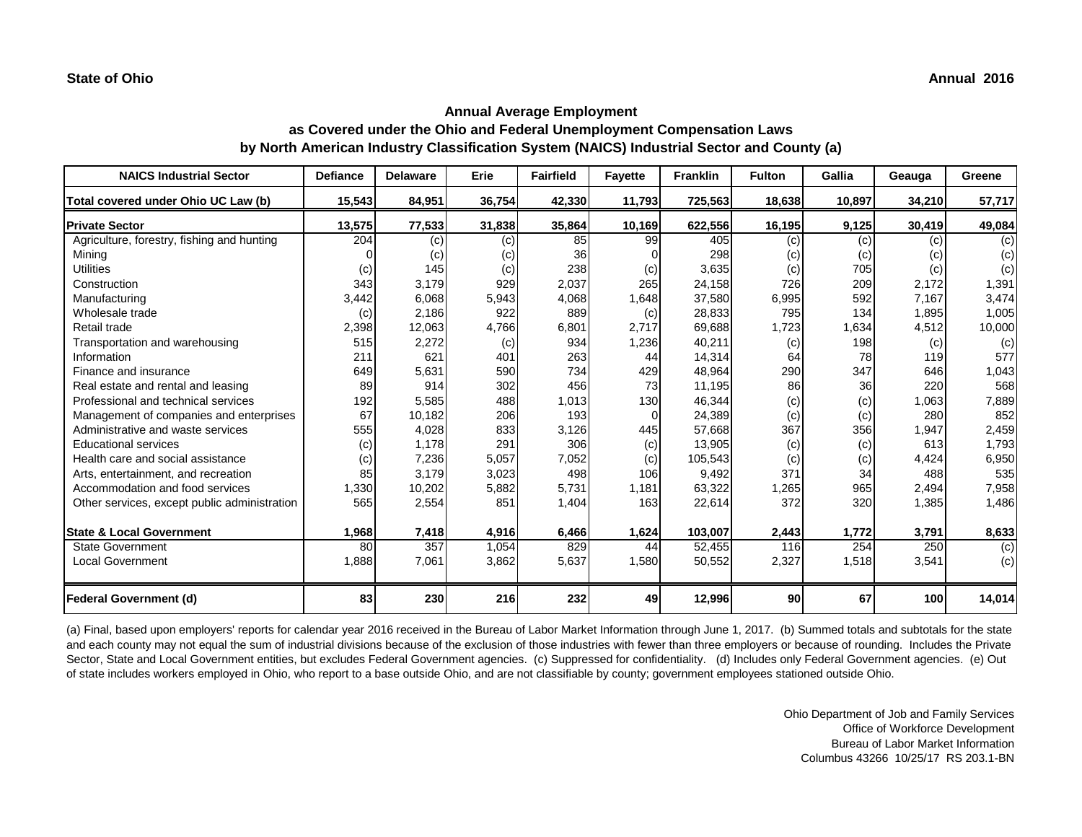| <b>NAICS Industrial Sector</b>               | <b>Defiance</b> | <b>Delaware</b> | Erie   | <b>Fairfield</b> | <b>Fayette</b> | <b>Franklin</b>     | <b>Fulton</b> | <b>Gallia</b> | Geauga | Greene |
|----------------------------------------------|-----------------|-----------------|--------|------------------|----------------|---------------------|---------------|---------------|--------|--------|
| Total covered under Ohio UC Law (b)          | 15,543          | 84,951          | 36,754 | 42,330           | 11,793         | 725,563             | 18,638        | 10,897        | 34,210 | 57,717 |
| <b>Private Sector</b>                        | 13,575          | 77,533          | 31,838 | 35,864           | 10,169         | 622,556             | 16,195        | 9,125         | 30,419 | 49,084 |
| Agriculture, forestry, fishing and hunting   | 204             | (c)             | (c)    | 85               | 99             | 405                 | (c)           | (c)           | (c)    | (c)    |
| Mining                                       |                 | (c)             | (c)    | 36               |                | 298                 | (c)           | (c)           | (c)    | (c)    |
| <b>Utilities</b>                             | (c)             | 145             | (c)    | 238              | (c)            | 3,635               | (c)           | 705           | (c)    | (c)    |
| Construction                                 | 343             | 3,179           | 929    | 2,037            | 265            | 24,158              | 726           | 209           | 2,172  | 1,391  |
| Manufacturing                                | 3,442           | 6,068           | 5,943  | 4,068            | 1,648          | 37,580              | 6,995         | 592           | 7,167  | 3,474  |
| Wholesale trade                              | (c)             | 2,186           | 922    | 889              | (c)            | 28,833              | 795           | 134           | 1,895  | 1,005  |
| Retail trade                                 | 2,398           | 12,063          | 4,766  | 6,801            | 2,717          | 69,688              | 1,723         | 1,634         | 4,512  | 10,000 |
| Transportation and warehousing               | 515             | 2,272           | (c)    | 934              | 1,236          | 40,211              | (c)           | 198           | (c)    | (c)    |
| Information                                  | 211             | 621             | 401    | 263              | 44             | 14,314              | 64            | 78            | 119    | 577    |
| Finance and insurance                        | 649             | 5,631           | 590    | 734              | 429            | 48,964              | 290           | 347           | 646    | 1,043  |
| Real estate and rental and leasing           | 89              | 914             | 302    | 456              | 73             | 11,195              | 86            | 36            | 220    | 568    |
| Professional and technical services          | 192             | 5,585           | 488    | 1,013            | 130            | 46,344              | (c)           | (c)           | 1,063  | 7,889  |
| Management of companies and enterprises      | 67              | 10,182          | 206    | 193              | $\Omega$       | 24,389              | (c)           | (c)           | 280    | 852    |
| Administrative and waste services            | 555             | 4,028           | 833    | 3,126            | 445            | 57,668              | 367           | 356           | 1,947  | 2,459  |
| <b>Educational services</b>                  | (c)             | 1,178           | 291    | 306              | (c)            | 13,905              | (c)           | (c)           | 613    | 1,793  |
| Health care and social assistance            | (c)             | 7,236           | 5,057  | 7,052            | (c)            | 105,543             | (c)           | (c)           | 4,424  | 6,950  |
| Arts, entertainment, and recreation          | 85              | 3,179           | 3,023  | 498              | 106            | 9,492               | 371           | 34            | 488    | 535    |
| Accommodation and food services              | 1,330           | 10,202          | 5,882  | 5,731            | 1,181          | 63,322              | 1,265         | 965           | 2,494  | 7,958  |
| Other services, except public administration | 565             | 2,554           | 851    | 1,404            | 163            | 22,614              | 372           | 320           | 1,385  | 1,486  |
| <b>State &amp; Local Government</b>          | 1,968           | 7,418           | 4,916  | 6,466            | 1,624          | 103,007             | 2,443         | 1,772         | 3,791  | 8,633  |
| <b>State Government</b>                      | 80              | 357             | 1,054  | 829              | 44             | $\overline{52,455}$ | 116           | 254           | 250    | (c)    |
| <b>Local Government</b>                      | 1,888           | 7,061           | 3,862  | 5,637            | 1,580          | 50,552              | 2,327         | 1,518         | 3,541  | (c)    |
| Federal Government (d)                       | 83              | 230             | 216    | 232              | 49             | 12,996              | 90            | 67            | 100    | 14,014 |

(a) Final, based upon employers' reports for calendar year 2016 received in the Bureau of Labor Market Information through June 1, 2017. (b) Summed totals and subtotals for the state and each county may not equal the sum of industrial divisions because of the exclusion of those industries with fewer than three employers or because of rounding. Includes the Private Sector, State and Local Government entities, but excludes Federal Government agencies. (c) Suppressed for confidentiality. (d) Includes only Federal Government agencies. (e) Out of state includes workers employed in Ohio, who report to a base outside Ohio, and are not classifiable by county; government employees stationed outside Ohio.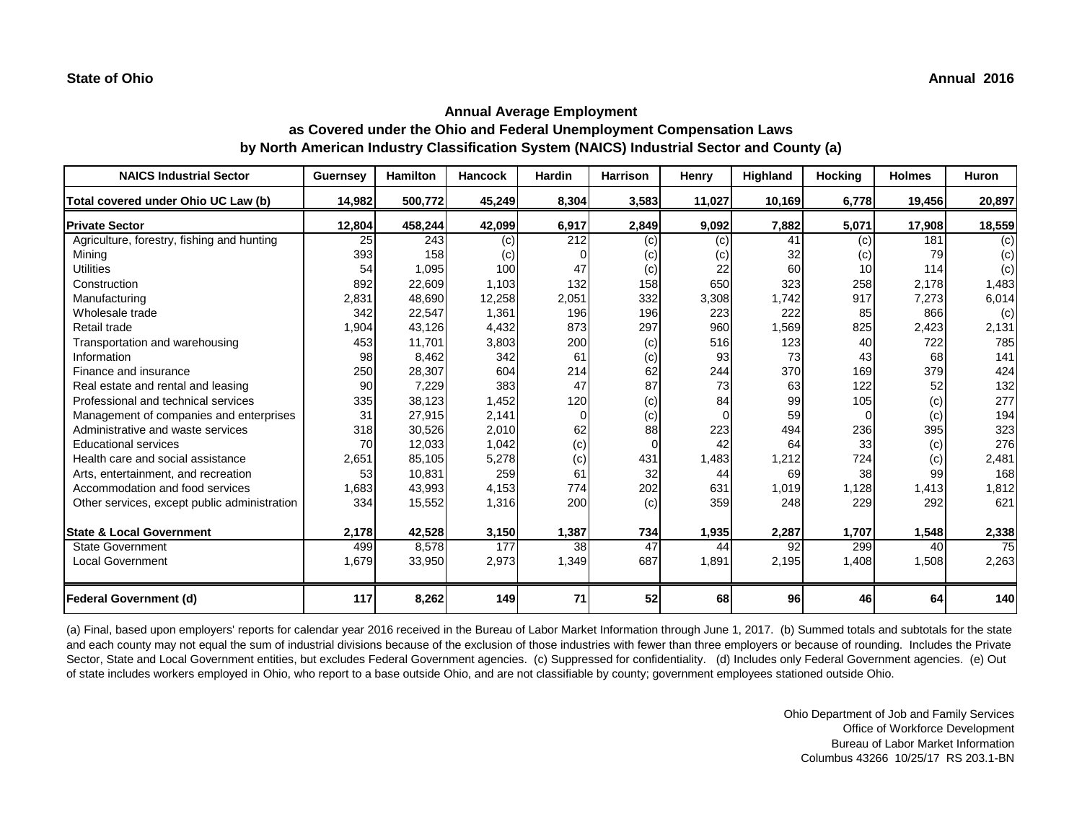| <b>NAICS Industrial Sector</b>               | <b>Guernsey</b> | <b>Hamilton</b> | <b>Hancock</b> | <b>Hardin</b> | <b>Harrison</b> | <b>Henry</b> | Highland | <b>Hocking</b> | <b>Holmes</b> | Huron  |
|----------------------------------------------|-----------------|-----------------|----------------|---------------|-----------------|--------------|----------|----------------|---------------|--------|
| Total covered under Ohio UC Law (b)          | 14,982          | 500,772         | 45,249         | 8,304         | 3,583           | 11,027       | 10,169   | 6,778          | 19,456        | 20,897 |
| <b>Private Sector</b>                        | 12,804          | 458,244         | 42,099         | 6,917         | 2,849           | 9,092        | 7,882    | 5,071          | 17,908        | 18,559 |
| Agriculture, forestry, fishing and hunting   | 25              | 243             | (c)            | 212           | (c)             | (c)          | 41       | (c)            | 181           | (c)    |
| Mining                                       | 393             | 158             | (c)            |               | (c)             | (c)          | 32       | (c)            | 79            | (c)    |
| <b>Utilities</b>                             | 54              | 1,095           | 100            | 47            | (c)             | 22           | 60       | 10             | 114           | (c)    |
| Construction                                 | 892             | 22,609          | 1,103          | 132           | 158             | 650          | 323      | 258            | 2,178         | 1,483  |
| Manufacturing                                | 2,831           | 48,690          | 12,258         | 2,051         | 332             | 3,308        | 1,742    | 917            | 7,273         | 6,014  |
| Wholesale trade                              | 342             | 22,547          | 1,361          | 196           | 196             | 223          | 222      | 85             | 866           | (c)    |
| Retail trade                                 | 1,904           | 43,126          | 4,432          | 873           | 297             | 960          | 1,569    | 825            | 2,423         | 2,131  |
| Transportation and warehousing               | 453             | 11,701          | 3,803          | 200           | (c)             | 516          | 123      | 40             | 722           | 785    |
| Information                                  | 98              | 8,462           | 342            | 61            | (c)             | 93           | 73       | 43             | 68            | 141    |
| Finance and insurance                        | 250             | 28,307          | 604            | 214           | 62              | 244          | 370      | 169            | 379           | 424    |
| Real estate and rental and leasing           | 90              | 7,229           | 383            | 47            | 87              | 73           | 63       | 122            | 52            | 132    |
| Professional and technical services          | 335             | 38,123          | 1,452          | 120           | (c)             | 84           | 99       | 105            | (c)           | 277    |
| Management of companies and enterprises      | 31              | 27,915          | 2,141          | $\Omega$      | (c)             |              | 59       | $\Omega$       | (c)           | 194    |
| Administrative and waste services            | 318             | 30,526          | 2,010          | 62            | 88              | 223          | 494      | 236            | 395           | 323    |
| <b>Educational services</b>                  | 70              | 12,033          | 1,042          | (c)           | 0               | 42           | 64       | 33             | (c)           | 276    |
| Health care and social assistance            | 2,651           | 85,105          | 5,278          | (c)           | 431             | 1,483        | 1,212    | 724            | (c)           | 2,481  |
| Arts, entertainment, and recreation          | 53              | 10,831          | 259            | 61            | 32              | 44           | 69       | 38             | 99            | 168    |
| Accommodation and food services              | 1,683           | 43,993          | 4,153          | 774           | 202             | 631          | 1,019    | 1,128          | 1,413         | 1,812  |
| Other services, except public administration | 334             | 15,552          | 1,316          | 200           | (c)             | 359          | 248      | 229            | 292           | 621    |
| <b>State &amp; Local Government</b>          | 2,178           | 42,528          | 3,150          | 1,387         | 734             | 1,935        | 2,287    | 1,707          | 1,548         | 2,338  |
| <b>State Government</b>                      | 499             | 8,578           | 177            | 38            | 47              | 44           | 92       | 299            | 40            | 75     |
| <b>Local Government</b>                      | 1,679           | 33,950          | 2,973          | 1,349         | 687             | 1,891        | 2,195    | 1,408          | 1,508         | 2,263  |
| <b>Federal Government (d)</b>                | 117             | 8,262           | 149            | 71            | 52              | 68           | 96       | 46             | 64            | 140    |

(a) Final, based upon employers' reports for calendar year 2016 received in the Bureau of Labor Market Information through June 1, 2017. (b) Summed totals and subtotals for the state and each county may not equal the sum of industrial divisions because of the exclusion of those industries with fewer than three employers or because of rounding. Includes the Private Sector, State and Local Government entities, but excludes Federal Government agencies. (c) Suppressed for confidentiality. (d) Includes only Federal Government agencies. (e) Out of state includes workers employed in Ohio, who report to a base outside Ohio, and are not classifiable by county; government employees stationed outside Ohio.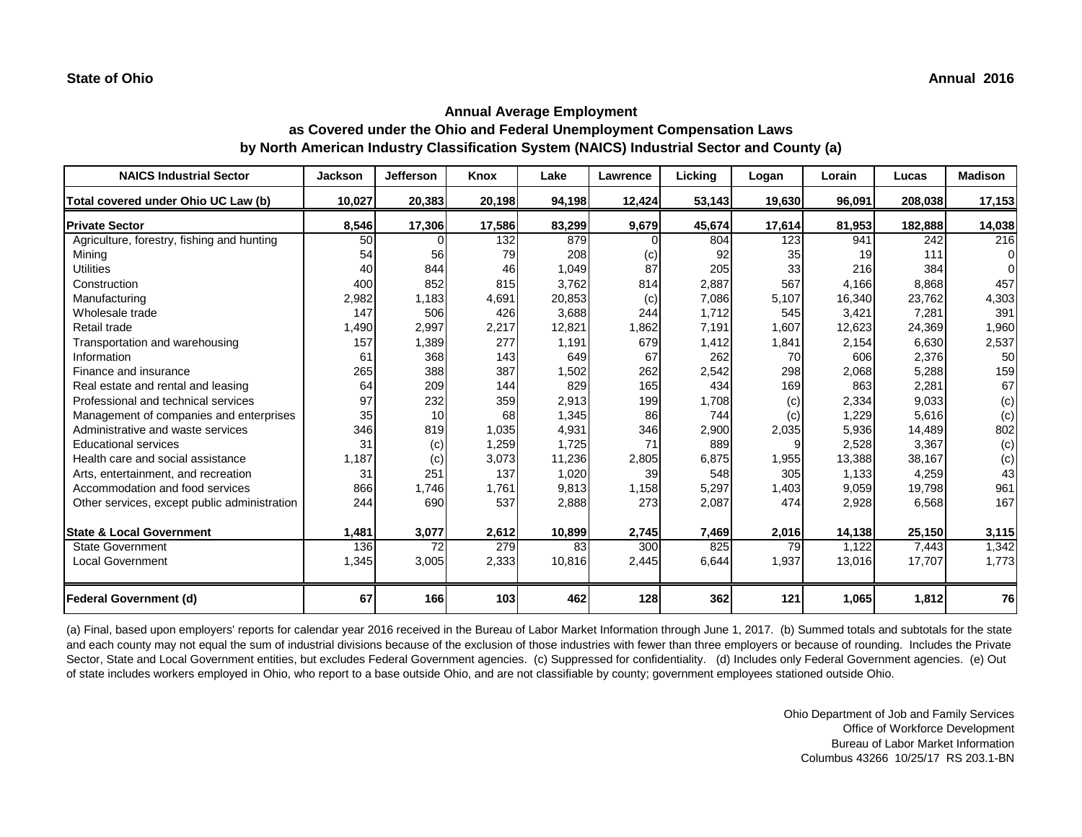| <b>NAICS Industrial Sector</b>               | <b>Jackson</b> | <b>Jefferson</b> | Knox   | Lake   | Lawrence | Licking | Logan  | Lorain | Lucas   | <b>Madison</b> |
|----------------------------------------------|----------------|------------------|--------|--------|----------|---------|--------|--------|---------|----------------|
| Total covered under Ohio UC Law (b)          | 10,027         | 20,383           | 20,198 | 94,198 | 12,424   | 53,143  | 19,630 | 96,091 | 208,038 | 17,153         |
| <b>Private Sector</b>                        | 8,546          | 17,306           | 17,586 | 83,299 | 9,679    | 45,674  | 17,614 | 81,953 | 182,888 | 14,038         |
| Agriculture, forestry, fishing and hunting   | 50             |                  | 132    | 879    |          | 804     | 123    | 941    | 242     | 216            |
| Mining                                       | 54             | 56               | 79     | 208    | (c)      | 92      | 35     | 19     | 111     | 01             |
| <b>Utilities</b>                             | 40             | 844              | 46     | 1,049  | 87       | 205     | 33     | 216    | 384     | $\Omega$       |
| Construction                                 | 400            | 852              | 815    | 3,762  | 814      | 2,887   | 567    | 4,166  | 8,868   | 457            |
| Manufacturing                                | 2,982          | 1,183            | 4,691  | 20,853 | (c)      | 7,086   | 5,107  | 16,340 | 23,762  | 4,303          |
| Wholesale trade                              | 147            | 506              | 426    | 3,688  | 244      | 1,712   | 545    | 3,421  | 7,281   | 391            |
| Retail trade                                 | 1,490          | 2,997            | 2,217  | 12,821 | 1,862    | 7,191   | 1,607  | 12,623 | 24,369  | 1,960          |
| Transportation and warehousing               | 157            | 1,389            | 277    | 1,191  | 679      | 1,412   | 1,841  | 2,154  | 6,630   | 2,537          |
| Information                                  | 61             | 368              | 143    | 649    | 67       | 262     | 70     | 606    | 2,376   | 50             |
| Finance and insurance                        | 265            | 388              | 387    | 1,502  | 262      | 2,542   | 298    | 2,068  | 5,288   | 159            |
| Real estate and rental and leasing           | 64             | 209              | 144    | 829    | 165      | 434     | 169    | 863    | 2,281   | 67             |
| Professional and technical services          | 97             | 232              | 359    | 2,913  | 199      | 1,708   | (c)    | 2,334  | 9,033   | (c)            |
| Management of companies and enterprises      | 35             | 10               | 68     | 1,345  | 86       | 744     | (c)    | 1,229  | 5,616   | (c)            |
| Administrative and waste services            | 346            | 819              | 1,035  | 4,931  | 346      | 2,900   | 2,035  | 5,936  | 14,489  | 802            |
| <b>Educational services</b>                  | 31             | (c)              | 1,259  | 1,725  | 71       | 889     | 9      | 2,528  | 3,367   | (c)            |
| Health care and social assistance            | 1,187          | (c)              | 3,073  | 11,236 | 2,805    | 6,875   | 1,955  | 13,388 | 38,167  | (c)            |
| Arts, entertainment, and recreation          | 31             | 251              | 137    | 1,020  | 39       | 548     | 305    | 1,133  | 4,259   | 43             |
| Accommodation and food services              | 866            | 1,746            | 1,761  | 9,813  | 1,158    | 5,297   | 1,403  | 9,059  | 19,798  | 961            |
| Other services, except public administration | 244            | 690              | 537    | 2,888  | 273      | 2,087   | 474    | 2,928  | 6,568   | 167            |
| <b>State &amp; Local Government</b>          | 1,481          | 3,077            | 2,612  | 10,899 | 2,745    | 7,469   | 2,016  | 14,138 | 25,150  | 3,115          |
| <b>State Government</b>                      | 136            | $\overline{72}$  | 279    | 83     | 300      | 825     | 79     | 1,122  | 7,443   | 1,342          |
| <b>Local Government</b>                      | 1,345          | 3,005            | 2,333  | 10,816 | 2,445    | 6,644   | 1,937  | 13,016 | 17,707  | 1,773          |
| <b>Federal Government (d)</b>                | 67             | 166              | 103    | 462    | 128      | 362     | 121    | 1,065  | 1,812   | 76             |

(a) Final, based upon employers' reports for calendar year 2016 received in the Bureau of Labor Market Information through June 1, 2017. (b) Summed totals and subtotals for the state and each county may not equal the sum of industrial divisions because of the exclusion of those industries with fewer than three employers or because of rounding. Includes the Private Sector, State and Local Government entities, but excludes Federal Government agencies. (c) Suppressed for confidentiality. (d) Includes only Federal Government agencies. (e) Out of state includes workers employed in Ohio, who report to a base outside Ohio, and are not classifiable by county; government employees stationed outside Ohio.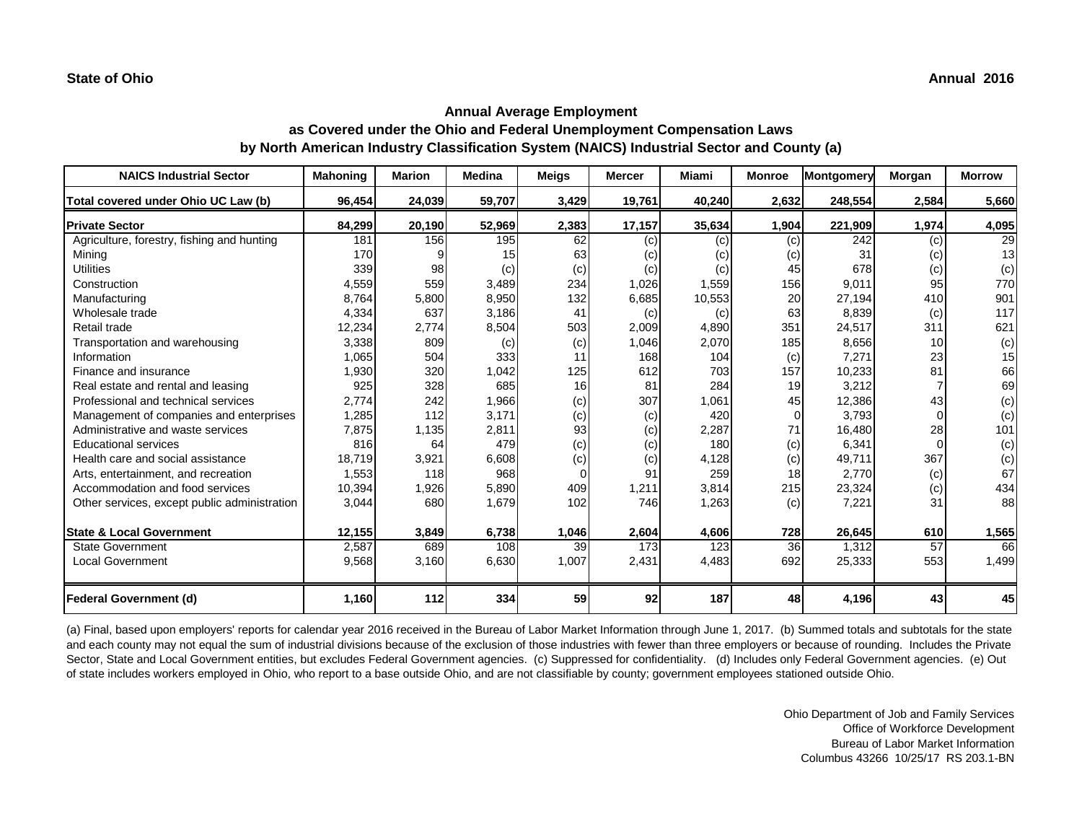| <b>NAICS Industrial Sector</b>               | <b>Mahoning</b> | <b>Marion</b> | <b>Medina</b> | <b>Meigs</b> | <b>Mercer</b> | Miami  | <b>Monroe</b> | Montgomery | Morgan   | <b>Morrow</b> |
|----------------------------------------------|-----------------|---------------|---------------|--------------|---------------|--------|---------------|------------|----------|---------------|
| Total covered under Ohio UC Law (b)          | 96,454          | 24,039        | 59,707        | 3,429        | 19,761        | 40,240 | 2,632         | 248,554    | 2,584    | 5,660         |
| <b>Private Sector</b>                        | 84,299          | 20,190        | 52,969        | 2,383        | 17,157        | 35,634 | 1,904         | 221,909    | 1,974    | 4,095         |
| Agriculture, forestry, fishing and hunting   | 181             | 156           | 195           | 62           | (c)           | (c)    | (c)           | 242        | (c)      | 29            |
| Mining                                       | 170             |               | 15            | 63           | (c)           | (c)    | (c)           | 31         | (c)      | 13            |
| <b>Utilities</b>                             | 339             | 98            | (c)           | (c)          | (c)           | (c)    | 45            | 678        | (c)      | (c)           |
| Construction                                 | 4,559           | 559           | 3,489         | 234          | 1,026         | 1,559  | 156           | 9,011      | 95       | 770           |
| Manufacturing                                | 8,764           | 5,800         | 8,950         | 132          | 6,685         | 10,553 | 20            | 27,194     | 410      | 901           |
| Wholesale trade                              | 4,334           | 637           | 3,186         | 41           | (c)           | (c)    | 63            | 8,839      | (c)      | 117           |
| Retail trade                                 | 12,234          | 2,774         | 8,504         | 503          | 2,009         | 4,890  | 351           | 24,517     | 311      | 621           |
| Transportation and warehousing               | 3,338           | 809           | (c)           | (c)          | 1,046         | 2,070  | 185           | 8,656      | 10       | (c)           |
| Information                                  | 1,065           | 504           | 333           | 11           | 168           | 104    | (c)           | 7,271      | 23       | 15            |
| Finance and insurance                        | 1,930           | 320           | 1,042         | 125          | 612           | 703    | 157           | 10,233     | 81       | 66            |
| Real estate and rental and leasing           | 925             | 328           | 685           | 16           | 81            | 284    | 19            | 3,212      |          | 69            |
| Professional and technical services          | 2,774           | 242           | 1,966         | (c)          | 307           | 1,061  | 45            | 12,386     | 43       | (c)           |
| Management of companies and enterprises      | 1,285           | 112           | 3,171         | (c)          | (c)           | 420    | $\Omega$      | 3,793      | $\Omega$ | (c)           |
| Administrative and waste services            | 7,875           | 1,135         | 2,811         | 93           | (c)           | 2,287  | 71            | 16,480     | 28       | 101           |
| <b>Educational services</b>                  | 816             | 64            | 479           | (c)          | (c)           | 180    | (c)           | 6,341      | 0        | (c)           |
| Health care and social assistance            | 18,719          | 3,921         | 6,608         | (c)          | (c)           | 4,128  | (c)           | 49,711     | 367      | (c)           |
| Arts, entertainment, and recreation          | 1,553           | 118           | 968           | $\Omega$     | 91            | 259    | 18            | 2,770      | (c)      | 67            |
| Accommodation and food services              | 10,394          | 1,926         | 5,890         | 409          | 1,211         | 3,814  | 215           | 23,324     | (c)      | 434           |
| Other services, except public administration | 3,044           | 680           | 1,679         | 102          | 746           | 1,263  | (c)           | 7,221      | 31       | 88            |
| <b>State &amp; Local Government</b>          | 12,155          | 3,849         | 6,738         | 1,046        | 2,604         | 4,606  | 728           | 26,645     | 610      | 1,565         |
| <b>State Government</b>                      | 2,587           | 689           | 108           | 39           | 173           | 123    | 36            | 1,312      | 57       | 66            |
| <b>Local Government</b>                      | 9,568           | 3,160         | 6,630         | 1,007        | 2,431         | 4,483  | 692           | 25,333     | 553      | 1,499         |
| Federal Government (d)                       | 1,160           | 112           | 334           | 59           | 92            | 187    | 48            | 4,196      | 43       | 45            |

(a) Final, based upon employers' reports for calendar year 2016 received in the Bureau of Labor Market Information through June 1, 2017. (b) Summed totals and subtotals for the state and each county may not equal the sum of industrial divisions because of the exclusion of those industries with fewer than three employers or because of rounding. Includes the Private Sector, State and Local Government entities, but excludes Federal Government agencies. (c) Suppressed for confidentiality. (d) Includes only Federal Government agencies. (e) Out of state includes workers employed in Ohio, who report to a base outside Ohio, and are not classifiable by county; government employees stationed outside Ohio.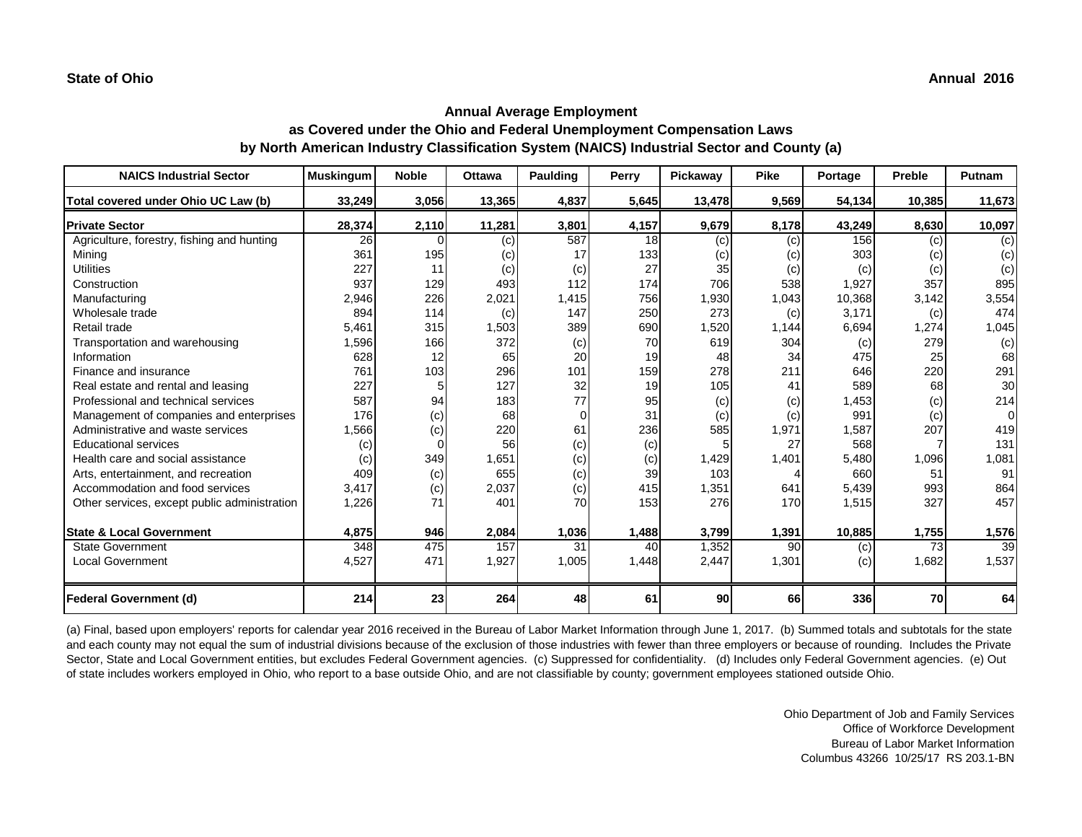| <b>NAICS Industrial Sector</b>               | <b>Muskingum</b> | <b>Noble</b> | <b>Ottawa</b> | <b>Paulding</b> | Perry | Pickaway        | <b>Pike</b> | Portage | <b>Preble</b> | Putnam          |
|----------------------------------------------|------------------|--------------|---------------|-----------------|-------|-----------------|-------------|---------|---------------|-----------------|
| Total covered under Ohio UC Law (b)          | 33,249           | 3,056        | 13,365        | 4,837           | 5,645 | 13,478          | 9,569       | 54,134  | 10,385        | 11,673          |
| <b>Private Sector</b>                        | 28,374           | 2,110        | 11,281        | 3,801           | 4,157 | 9,679           | 8,178       | 43,249  | 8,630         | 10,097          |
| Agriculture, forestry, fishing and hunting   | 26               | 0            | (c)           | 587             | 18    | (c)             | (c)         | 156     | (c)           | (c)             |
| Mining                                       | 361              | 195          | (c)           | 17              | 133   | (c)             | (c)         | 303     | (c)           | (c)             |
| <b>Utilities</b>                             | 227              | 11           | (c)           | (c)             | 27    | 35              | (c)         | (c)     | (c)           | (c)             |
| Construction                                 | 937              | 129          | 493           | 112             | 174   | 706             | 538         | 1,927   | 357           | 895             |
| Manufacturing                                | 2,946            | 226          | 2,021         | 1,415           | 756   | 1,930           | 1,043       | 10,368  | 3,142         | 3,554           |
| Wholesale trade                              | 894              | 114          | (c)           | 147             | 250   | 273             | (c)         | 3,171   | (c)           | 474             |
| Retail trade                                 | 5,461            | 315          | 1,503         | 389             | 690   | 1,520           | 1,144       | 6,694   | 1,274         | 1,045           |
| Transportation and warehousing               | 1,596            | 166          | 372           | (c)             | 70    | 619             | 304         | (c)     | 279           | (c)             |
| Information                                  | 628              | 12           | 65            | 20              | 19    | 48              | 34          | 475     | 25            | 68              |
| Finance and insurance                        | 761              | 103          | 296           | 101             | 159   | 278             | 211         | 646     | 220           | 291             |
| Real estate and rental and leasing           | 227              |              | 127           | 32              | 19    | 105             | 41          | 589     | 68            | 30 <sub>l</sub> |
| Professional and technical services          | 587              | 94           | 183           | 77              | 95    | (c)             | (c)         | 1,453   | (c)           | 214             |
| Management of companies and enterprises      | 176              | (c)          | 68            | $\Omega$        | 31    | (c)             | (c)         | 991     | (c)           | $\overline{0}$  |
| Administrative and waste services            | 1,566            | (c)          | 220           | 61              | 236   | 585             | 1,971       | 1,587   | 207           | 419             |
| <b>Educational services</b>                  | (c)              |              | 56            | (c)             | (c)   |                 | 27          | 568     |               | 131             |
| Health care and social assistance            | (c)              | 349          | 1,651         | (c)             | (c)   | 1,429           | 1,401       | 5,480   | 1,096         | 1,081           |
| Arts, entertainment, and recreation          | 409              | (c)          | 655           | (c)             | 39    | 103             |             | 660     | 51            | 91              |
| Accommodation and food services              | 3,417            | (c)          | 2,037         | (c)             | 415   | 1,351           | 641         | 5,439   | 993           | 864             |
| Other services, except public administration | 1,226            | 71           | 401           | 70              | 153   | 276             | 170         | 1,515   | 327           | 457             |
| <b>State &amp; Local Government</b>          | 4,875            | 946          | 2,084         | 1,036           | 1,488 | 3,799           | 1,391       | 10,885  | 1,755         | 1,576           |
| <b>State Government</b>                      | 348              | 475          | 157           | 31              | 40    | 1,352           | 90          | (c)     | 73            | 39              |
| <b>Local Government</b>                      | 4,527            | 471          | 1,927         | 1,005           | 1,448 | 2,447           | 1,301       | (c)     | 1,682         | 1,537           |
| <b>Federal Government (d)</b>                | 214              | 23           | 264           | 48              | 61    | 90 <sub>l</sub> | 66          | 336     | 70            | 64              |

(a) Final, based upon employers' reports for calendar year 2016 received in the Bureau of Labor Market Information through June 1, 2017. (b) Summed totals and subtotals for the state and each county may not equal the sum of industrial divisions because of the exclusion of those industries with fewer than three employers or because of rounding. Includes the Private Sector, State and Local Government entities, but excludes Federal Government agencies. (c) Suppressed for confidentiality. (d) Includes only Federal Government agencies. (e) Out of state includes workers employed in Ohio, who report to a base outside Ohio, and are not classifiable by county; government employees stationed outside Ohio.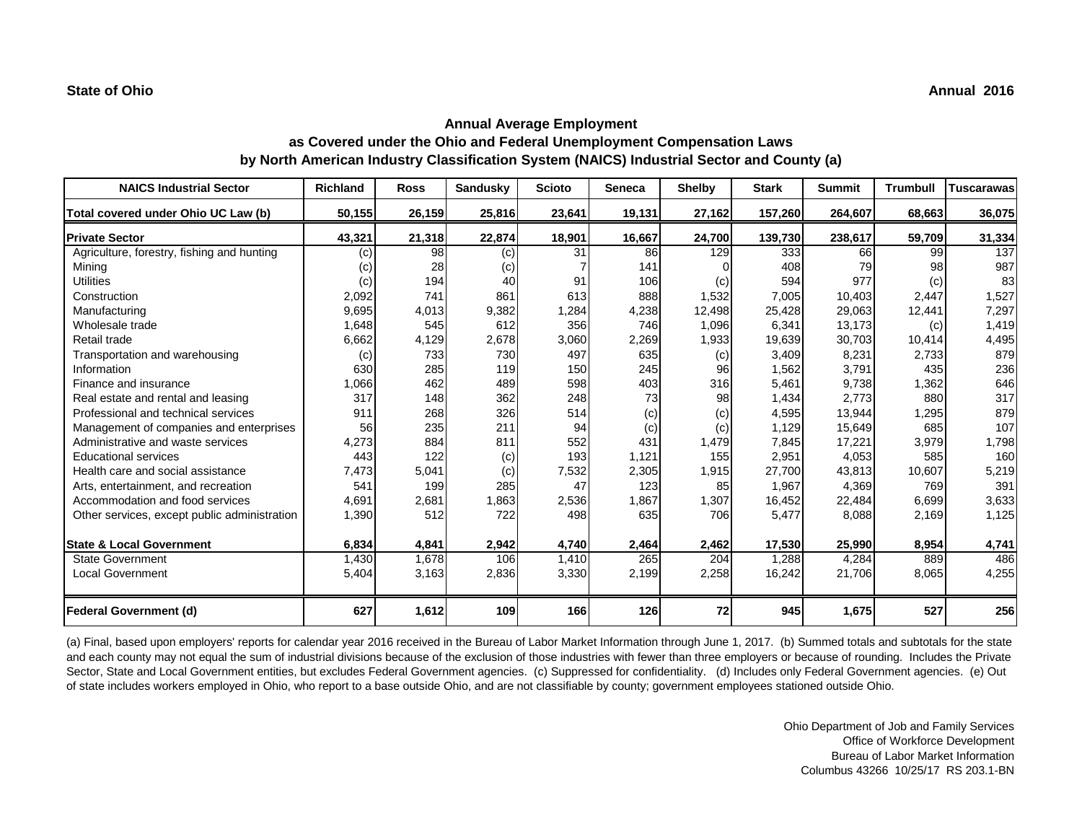| <b>NAICS Industrial Sector</b>               | <b>Richland</b> | <b>Ross</b> | <b>Sandusky</b> | <b>Scioto</b> | <b>Seneca</b> | <b>Shelby</b> | <b>Stark</b> | <b>Summit</b> | <b>Trumbull</b> | <b>Tuscarawas</b> |
|----------------------------------------------|-----------------|-------------|-----------------|---------------|---------------|---------------|--------------|---------------|-----------------|-------------------|
| Total covered under Ohio UC Law (b)          | 50,155          | 26,159      | 25,816          | 23,641        | 19,131        | 27,162        | 157,260      | 264,607       | 68,663          | 36,075            |
| <b>Private Sector</b>                        | 43,321          | 21,318      | 22,874          | 18,901        | 16,667        | 24,700        | 139,730      | 238,617       | 59,709          | 31,334            |
| Agriculture, forestry, fishing and hunting   | (c)             | 98          | (c)             | 31            | 86            | 129           | 333          | 66            | 99              | 137               |
| Mining                                       | (c)             | 28          | (c)             |               | 141           |               | 408          | 79            | 98              | 987               |
| <b>Utilities</b>                             | (c)             | 194         | 40              | 91            | 106           | (c)           | 594          | 977           | (c)             | 83                |
| Construction                                 | 2,092           | 741         | 861             | 613           | 888           | 1,532         | 7,005        | 10,403        | 2,447           | 1,527             |
| Manufacturing                                | 9,695           | 4,013       | 9,382           | 1,284         | 4,238         | 12,498        | 25,428       | 29,063        | 12,441          | 7,297             |
| Wholesale trade                              | 1,648           | 545         | 612             | 356           | 746           | 1,096         | 6,341        | 13,173        | (c)             | 1,419             |
| Retail trade                                 | 6,662           | 4,129       | 2,678           | 3,060         | 2,269         | 1,933         | 19,639       | 30,703        | 10,414          | 4,495             |
| Transportation and warehousing               | (c)             | 733         | 730             | 497           | 635           | (c)           | 3,409        | 8,231         | 2,733           | 879               |
| Information                                  | 630             | 285         | 119             | 150           | 245           | 96            | 1,562        | 3,791         | 435             | 236               |
| Finance and insurance                        | 1,066           | 462         | 489             | 598           | 403           | 316           | 5,461        | 9,738         | 1,362           | 646               |
| Real estate and rental and leasing           | 317             | 148         | 362             | 248           | 73            | 98            | 1,434        | 2,773         | 880             | 317               |
| Professional and technical services          | 911             | 268         | 326             | 514           | (c)           | (c)           | 4,595        | 13,944        | 1,295           | 879               |
| Management of companies and enterprises      | 56              | 235         | 211             | 94            | (c)           | (c)           | 1,129        | 15,649        | 685             | 107               |
| Administrative and waste services            | 4,273           | 884         | 811             | 552           | 431           | 1,479         | 7,845        | 17,221        | 3,979           | 1,798             |
| <b>Educational services</b>                  | 443             | 122         | (c)             | 193           | 1,121         | 155           | 2,951        | 4,053         | 585             | 160               |
| Health care and social assistance            | 7,473           | 5,041       | (c)             | 7,532         | 2,305         | 1,915         | 27,700       | 43,813        | 10,607          | 5,219             |
| Arts, entertainment, and recreation          | 541             | 199         | 285             | 47            | 123           | 85            | 1,967        | 4,369         | 769             | 391               |
| Accommodation and food services              | 4,691           | 2,681       | 1,863           | 2,536         | 1,867         | 1,307         | 16,452       | 22,484        | 6,699           | 3,633             |
| Other services, except public administration | 1,390           | 512         | 722             | 498           | 635           | 706           | 5,477        | 8,088         | 2,169           | 1,125             |
| <b>State &amp; Local Government</b>          | 6,834           | 4,841       | 2,942           | 4,740         | 2,464         | 2,462         | 17,530       | 25,990        | 8,954           | 4,741             |
| <b>State Government</b>                      | 1,430           | 1,678       | 106             | 1,410         | 265           | 204           | 1,288        | 4,284         | 889             | 486               |
| <b>Local Government</b>                      | 5,404           | 3,163       | 2,836           | 3,330         | 2,199         | 2,258         | 16,242       | 21,706        | 8,065           | 4,255             |
| <b>Federal Government (d)</b>                | 627             | 1,612       | 109             | 166           | 126           | 72            | 945          | 1,675         | 527             | 256               |

(a) Final, based upon employers' reports for calendar year 2016 received in the Bureau of Labor Market Information through June 1, 2017. (b) Summed totals and subtotals for the state and each county may not equal the sum of industrial divisions because of the exclusion of those industries with fewer than three employers or because of rounding. Includes the Private Sector, State and Local Government entities, but excludes Federal Government agencies. (c) Suppressed for confidentiality. (d) Includes only Federal Government agencies. (e) Out of state includes workers employed in Ohio, who report to a base outside Ohio, and are not classifiable by county; government employees stationed outside Ohio.